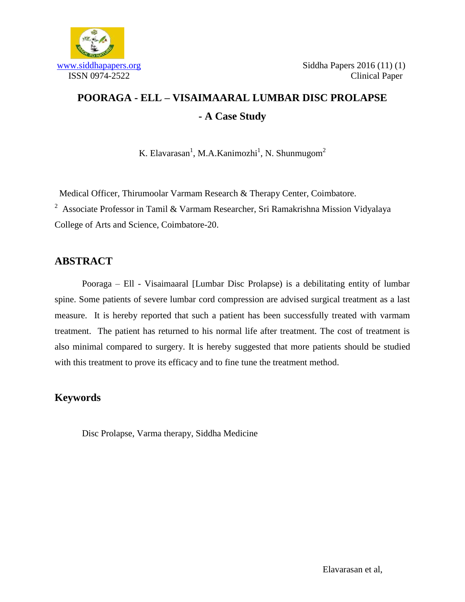

# **POORAGA - ELL – VISAIMAARAL LUMBAR DISC PROLAPSE - A Case Study**

K. Elavarasan<sup>1</sup>, M.A.Kanimozhi<sup>1</sup>, N. Shunmugom<sup>2</sup>

Medical Officer, Thirumoolar Varmam Research & Therapy Center, Coimbatore.

<sup>2</sup> Associate Professor in Tamil & Varmam Researcher, Sri Ramakrishna Mission Vidyalaya College of Arts and Science, Coimbatore-20.

#### **ABSTRACT**

Pooraga – Ell - Visaimaaral [Lumbar Disc Prolapse) is a debilitating entity of lumbar spine. Some patients of severe lumbar cord compression are advised surgical treatment as a last measure. It is hereby reported that such a patient has been successfully treated with varmam treatment. The patient has returned to his normal life after treatment. The cost of treatment is also minimal compared to surgery. It is hereby suggested that more patients should be studied with this treatment to prove its efficacy and to fine tune the treatment method.

### **Keywords**

Disc Prolapse, Varma therapy, Siddha Medicine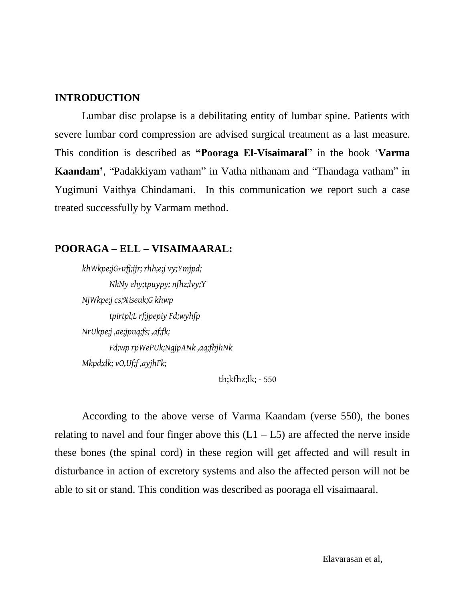#### **INTRODUCTION**

Lumbar disc prolapse is a debilitating entity of lumbar spine. Patients with severe lumbar cord compression are advised surgical treatment as a last measure. This condition is described as **"Pooraga El-Visaimaral**" in the book "**Varma Kaandam'**, "Padakkiyam vatham" in Vatha nithanam and "Thandaga vatham" in Yugimuni Vaithya Chindamani. In this communication we report such a case treated successfully by Varmam method.

### **POORAGA – ELL – VISAIMAARAL:**

*khWkpe;jG+ufj;ijr; rhh;e;j vy;Ymjpd; NkNy ehy;tpuypy; nfhz;lvy;Y NjWkpe;j cs;%iseuk;G khwp tpirtpl;L rf;jpepiy Fd;wyhfp NrUkpe;j ,ae;jpuq;fs; ,af;fk; Fd;wp rpWePUk;NgjpANk ,aq;fhjhNk Mkpd;dk; vO,Uf;f ,ayjhFk;*

th;kfhz;lk; - 550

According to the above verse of Varma Kaandam (verse 550), the bones relating to navel and four finger above this  $(L1 - L5)$  are affected the nerve inside these bones (the spinal cord) in these region will get affected and will result in disturbance in action of excretory systems and also the affected person will not be able to sit or stand. This condition was described as pooraga ell visaimaaral.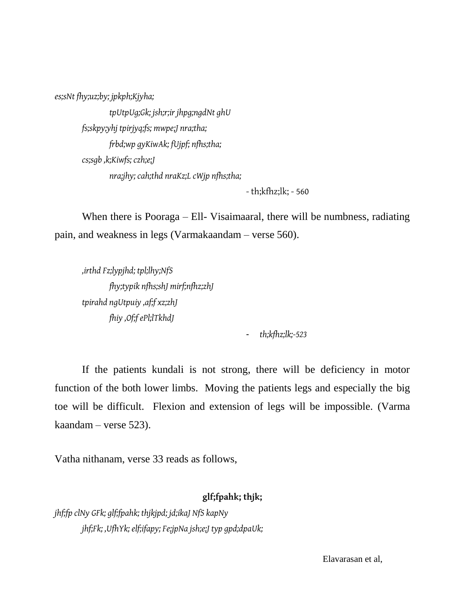*es;sNt fhy;uz;by; jpkph;Kjyha;* 

*tpUtpUg;Gk; jsh;r;ir jhpg;ngdNt ghU fs;skpy;yhj tpirjyq;fs; mwpe;J nra;tha; frbd;wp gyKiwAk; fUjpf; nfhs;tha; cs;sgb ,k;Kiwfs; czh;e;J nra;jhy; cah;thd nraKz;L cWjp nfhs;tha;*

- th;kfhz;lk; - 560

When there is Pooraga – Ell- Visaimaaral, there will be numbness, radiating pain, and weakness in legs (Varmakaandam – verse 560).

*,irthd Fz;lypjhd; tpl;lhy;NfS fhy;typik nfhs;shJ mirf;nfhz;zhJ tpirahd ngUtpuiy ,af;f xz;zhJ fhiy ,Of;f ePl;lTkhdJ*

- *th;kfhz;lk;-523*

If the patients kundali is not strong, there will be deficiency in motor function of the both lower limbs. Moving the patients legs and especially the big toe will be difficult. Flexion and extension of legs will be impossible. (Varma kaandam – verse 523).

Vatha nithanam, verse 33 reads as follows,

#### **glf;fpahk; thjk;**

*jhf;fp clNy GFk; glf;fpahk; thjkjpd; jd;ikaJ NfS kapNy jhf;Fk; ,UfhYk; elf;ifapy; Fe;jpNa jsh;e;J typ gpd;dpaUk;*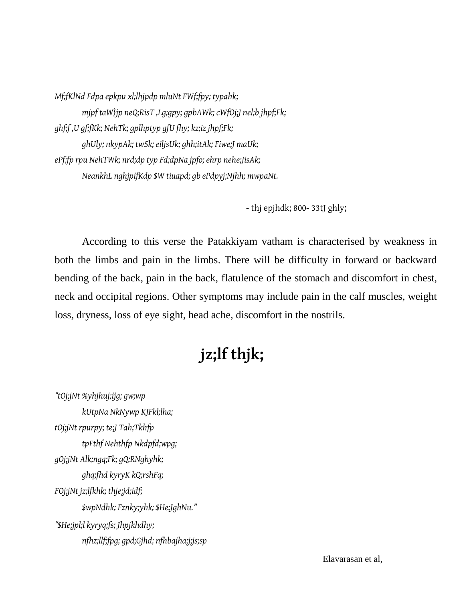*Mf;fKlNd Fdpa epkpu xl;lhjpdp mluNt FWf;fpy; typahk; mjpf taW}jp neQ;RisT ,Lg;gpy; gpbAWk; cWfOj;J nel;b jhpf;Fk; ghf;f ,U gf;fKk; NehTk; gplhptyp gfU fhy; kz;iz jhpf;Fk; ghUly; nkypAk; twSk; eiljsUk; ghh;itAk; Fiwe;J maUk; ePf;fp rpu NehTWk; nrd;dp typ Fd;dpNa jpfo; ehrp nehe;JisAk; NeankhL nghjpifKdp \$W tiuapd; gb ePdpyj;Njhh; mwpaNt.*

- thj epjhdk; 800- 33tJ ghly;

According to this verse the Patakkiyam vatham is characterised by weakness in both the limbs and pain in the limbs. There will be difficulty in forward or backward bending of the back, pain in the back, flatulence of the stomach and discomfort in chest, neck and occipital regions. Other symptoms may include pain in the calf muscles, weight loss, dryness, loss of eye sight, head ache, discomfort in the nostrils.

# **jz;lf thjk;**

*"tOj;jNt %yhjhuj;ijg; gw;wp kUtpNa NkNywp KJFkl;lha; tOj;jNt rpurpy; te;J Tah;Tkhfp tpFthf Nehthfp Nkdpfd;wpg; gOj;jNt Alk;ngq;Fk; gQ;RNghyhk; ghq;fhd kyryK kQ;rshFq; FOj;jNt jz;lfkhk; thje;jd;idf; \$wpNdhk; Fznky;yhk; \$He;JghNu." "\$He;jpl;l kyryq;fs; Jhpjkhdhy; nfhz;llf;fpg; gpd;Gjhd; nfhbajha;j;js;sp*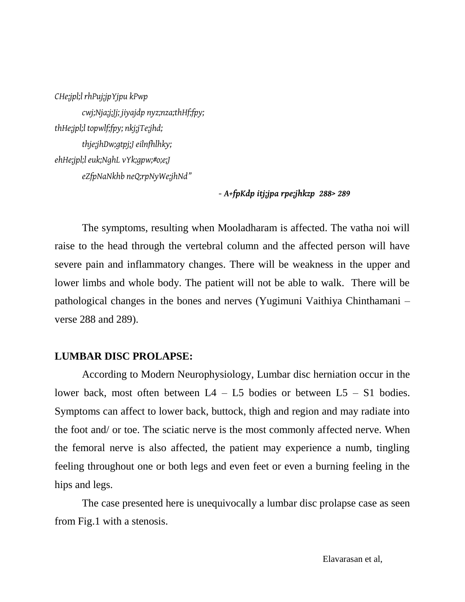*CHe;jpl;l rhPuj;jpYjpu kPwp cwj;Nja;j;Jj; jiyajdp nyz;nza;thHf;fpy; thHe;jpl;l topwlf;fpy; nkj;jTe;jhd; thje;jhDw;gtpj;J eilnfhlhky; ehHe;jpl;l euk;NghL vYk;gpw;#o;e;J eZfpNaNkhb neQ;rpNyWe;jhNd"*

*- A+fpKdp itj;jpa rpe;jhkzp 288> 289*

The symptoms, resulting when Mooladharam is affected. The vatha noi will raise to the head through the vertebral column and the affected person will have severe pain and inflammatory changes. There will be weakness in the upper and lower limbs and whole body. The patient will not be able to walk. There will be pathological changes in the bones and nerves (Yugimuni Vaithiya Chinthamani – verse 288 and 289).

#### **LUMBAR DISC PROLAPSE:**

According to Modern Neurophysiology, Lumbar disc herniation occur in the lower back, most often between  $L4 - L5$  bodies or between  $L5 - S1$  bodies. Symptoms can affect to lower back, buttock, thigh and region and may radiate into the foot and/ or toe. The sciatic nerve is the most commonly affected nerve. When the femoral nerve is also affected, the patient may experience a numb, tingling feeling throughout one or both legs and even feet or even a burning feeling in the hips and legs.

The case presented here is unequivocally a lumbar disc prolapse case as seen from Fig.1 with a stenosis.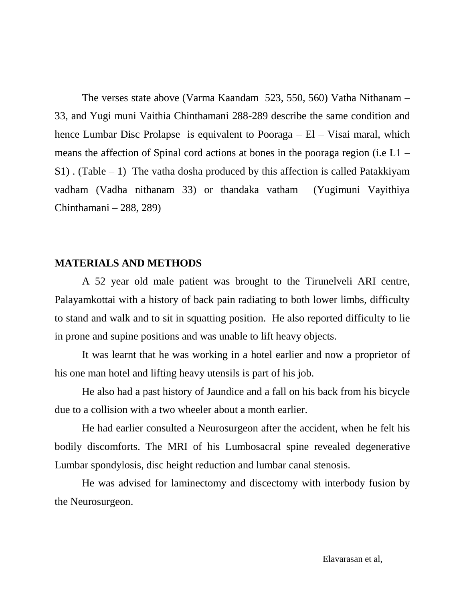The verses state above (Varma Kaandam 523, 550, 560) Vatha Nithanam – 33, and Yugi muni Vaithia Chinthamani 288-289 describe the same condition and hence Lumbar Disc Prolapse is equivalent to Pooraga – El – Visai maral, which means the affection of Spinal cord actions at bones in the pooraga region (i.e L1 –  $S1$ ). (Table – 1) The vatha dosha produced by this affection is called Patakkiyam vadham (Vadha nithanam 33) or thandaka vatham (Yugimuni Vayithiya Chinthamani – 288, 289)

#### **MATERIALS AND METHODS**

A 52 year old male patient was brought to the Tirunelveli ARI centre, Palayamkottai with a history of back pain radiating to both lower limbs, difficulty to stand and walk and to sit in squatting position. He also reported difficulty to lie in prone and supine positions and was unable to lift heavy objects.

It was learnt that he was working in a hotel earlier and now a proprietor of his one man hotel and lifting heavy utensils is part of his job.

He also had a past history of Jaundice and a fall on his back from his bicycle due to a collision with a two wheeler about a month earlier.

He had earlier consulted a Neurosurgeon after the accident, when he felt his bodily discomforts. The MRI of his Lumbosacral spine revealed degenerative Lumbar spondylosis, disc height reduction and lumbar canal stenosis.

He was advised for laminectomy and discectomy with interbody fusion by the Neurosurgeon.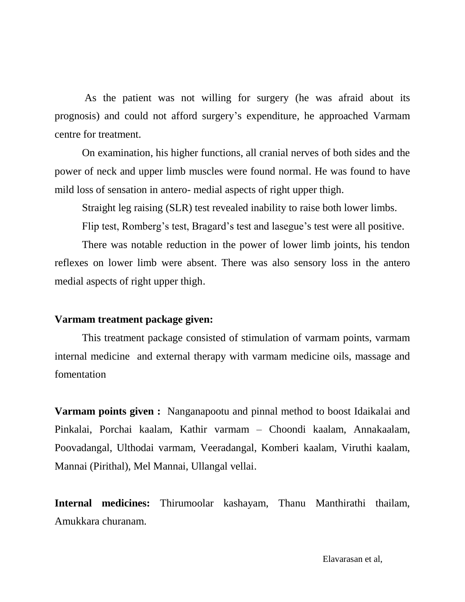As the patient was not willing for surgery (he was afraid about its prognosis) and could not afford surgery"s expenditure, he approached Varmam centre for treatment.

On examination, his higher functions, all cranial nerves of both sides and the power of neck and upper limb muscles were found normal. He was found to have mild loss of sensation in antero- medial aspects of right upper thigh.

Straight leg raising (SLR) test revealed inability to raise both lower limbs.

Flip test, Romberg's test, Bragard's test and lasegue's test were all positive.

There was notable reduction in the power of lower limb joints, his tendon reflexes on lower limb were absent. There was also sensory loss in the antero medial aspects of right upper thigh.

#### **Varmam treatment package given:**

This treatment package consisted of stimulation of varmam points, varmam internal medicine and external therapy with varmam medicine oils, massage and fomentation

**Varmam points given :** Nanganapootu and pinnal method to boost Idaikalai and Pinkalai, Porchai kaalam, Kathir varmam – Choondi kaalam, Annakaalam, Poovadangal, Ulthodai varmam, Veeradangal, Komberi kaalam, Viruthi kaalam, Mannai (Pirithal), Mel Mannai, Ullangal vellai.

**Internal medicines:** Thirumoolar kashayam, Thanu Manthirathi thailam, Amukkara churanam.

Elavarasan et al,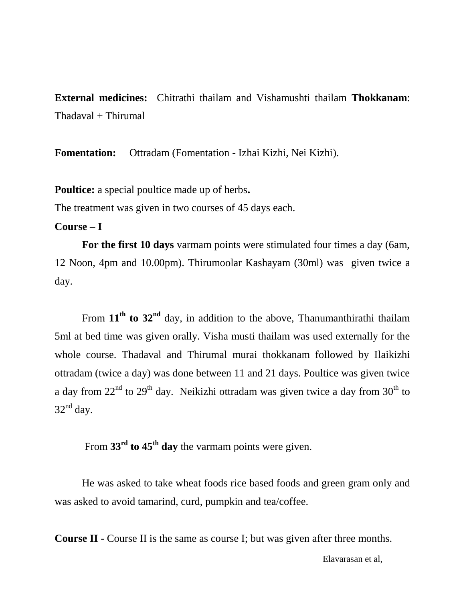**External medicines:** Chitrathi thailam and Vishamushti thailam **Thokkanam**: Thadaval + Thirumal

**Fomentation:** Ottradam (Fomentation - Izhai Kizhi, Nei Kizhi).

**Poultice:** a special poultice made up of herbs**.**

The treatment was given in two courses of 45 days each.

#### **Course – I**

**For the first 10 days** varmam points were stimulated four times a day (6am, 12 Noon, 4pm and 10.00pm). Thirumoolar Kashayam (30ml) was given twice a day.

From **11th to 32nd** day, in addition to the above, Thanumanthirathi thailam 5ml at bed time was given orally. Visha musti thailam was used externally for the whole course. Thadaval and Thirumal murai thokkanam followed by Ilaikizhi ottradam (twice a day) was done between 11 and 21 days. Poultice was given twice a day from  $22<sup>nd</sup>$  to  $29<sup>th</sup>$  day. Neikizhi ottradam was given twice a day from  $30<sup>th</sup>$  to  $32<sup>nd</sup>$  day.

From **33rd to 45th day** the varmam points were given.

He was asked to take wheat foods rice based foods and green gram only and was asked to avoid tamarind, curd, pumpkin and tea/coffee.

**Course II** - Course II is the same as course I; but was given after three months.

Elavarasan et al,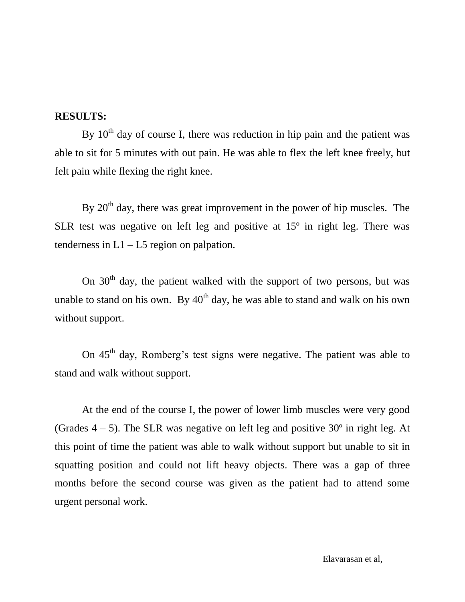#### **RESULTS:**

By  $10<sup>th</sup>$  day of course I, there was reduction in hip pain and the patient was able to sit for 5 minutes with out pain. He was able to flex the left knee freely, but felt pain while flexing the right knee.

By  $20<sup>th</sup>$  day, there was great improvement in the power of hip muscles. The SLR test was negative on left leg and positive at 15º in right leg. There was tenderness in  $L1 - L5$  region on palpation.

On  $30<sup>th</sup>$  day, the patient walked with the support of two persons, but was unable to stand on his own. By  $40<sup>th</sup>$  day, he was able to stand and walk on his own without support.

On  $45<sup>th</sup>$  day, Romberg's test signs were negative. The patient was able to stand and walk without support.

At the end of the course I, the power of lower limb muscles were very good (Grades  $4 - 5$ ). The SLR was negative on left leg and positive 30 $\degree$  in right leg. At this point of time the patient was able to walk without support but unable to sit in squatting position and could not lift heavy objects. There was a gap of three months before the second course was given as the patient had to attend some urgent personal work.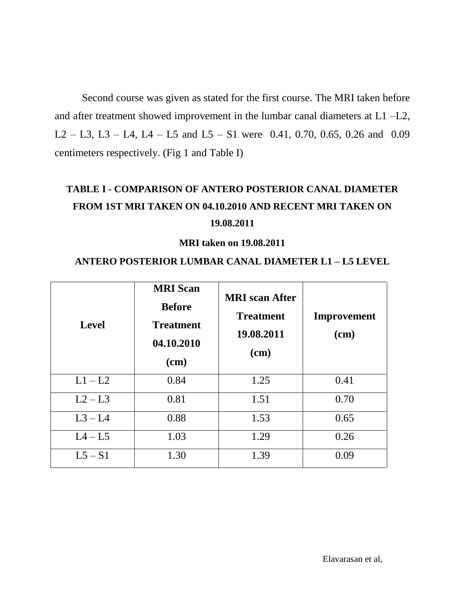Second course was given as stated for the first course. The MRI taken before and after treatment showed improvement in the lumbar canal diameters at L1 –L2, L2 – L3, L3 – L4, L4 – L5 and L5 – S1 were 0.41, 0.70, 0.65, 0.26 and 0.09 centimeters respectively. (Fig 1 and Table I)

## **TABLE I - COMPARISON OF ANTERO POSTERIOR CANAL DIAMETER FROM 1ST MRI TAKEN ON 04.10.2010 AND RECENT MRI TAKEN ON 19.08.2011**

#### **MRI taken on 19.08.2011**

#### **ANTERO POSTERIOR LUMBAR CANAL DIAMETER L1 – L5 LEVEL**

| <b>Level</b> | <b>MRI</b> Scan<br><b>Before</b><br><b>Treatment</b><br>04.10.2010<br>$(cm)$ | <b>MRI</b> scan After<br><b>Treatment</b><br>19.08.2011<br>(cm) | <b>Improvement</b><br>$(cm)$ |
|--------------|------------------------------------------------------------------------------|-----------------------------------------------------------------|------------------------------|
| $L1 - L2$    | 0.84                                                                         | 1.25                                                            | 0.41                         |
| $L2 - L3$    | 0.81                                                                         | 1.51                                                            | 0.70                         |
| $L3 - L4$    | 0.88                                                                         | 1.53                                                            | 0.65                         |
| $L4 - L5$    | 1.03                                                                         | 1.29                                                            | 0.26                         |
| $L5-S1$      | 1.30                                                                         | 1.39                                                            | 0.09                         |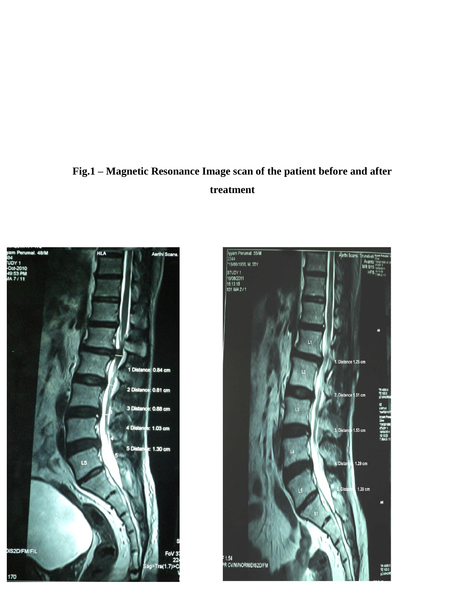# **Fig.1 – Magnetic Resonance Image scan of the patient before and after treatment**



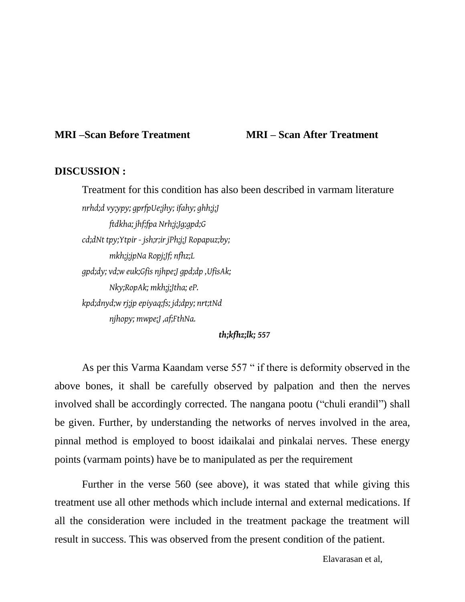#### **MRI –Scan Before Treatment MRI – Scan After Treatment**

#### **DISCUSSION :**

Treatment for this condition has also been described in varmam literature *nrhd;d vy;ypy; gprfpUe;jhy; ifahy; ghh;j;J ftdkha; jhf;fpa Nrh;j;Jg;gpd;G cd;dNt tpy;Ytpir - jsh;r;ir jPh;j;J Ropapuz;by; mkh;j;jpNa Ropj;Jf; nfhz;L gpd;dy; vd;w euk;Gfis njhpe;J gpd;dp ,UfisAk; Nky;RopAk; mkh;j;Jtha; eP. kpd;dnyd;w rj;jp epiyaq;fs; jd;dpy; nrt;tNd njhopy; mwpe;J ,af;FthNa.*

*th;kfhz;lk; 557*

As per this Varma Kaandam verse 557 " if there is deformity observed in the above bones, it shall be carefully observed by palpation and then the nerves involved shall be accordingly corrected. The nangana pootu ("chuli erandil") shall be given. Further, by understanding the networks of nerves involved in the area, pinnal method is employed to boost idaikalai and pinkalai nerves. These energy points (varmam points) have be to manipulated as per the requirement

Further in the verse 560 (see above), it was stated that while giving this treatment use all other methods which include internal and external medications. If all the consideration were included in the treatment package the treatment will result in success. This was observed from the present condition of the patient.

Elavarasan et al,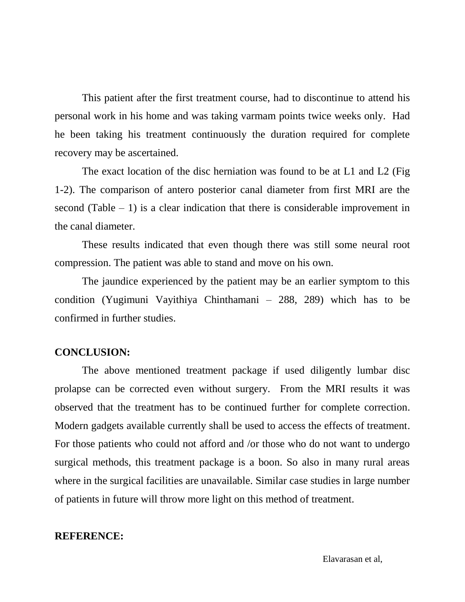This patient after the first treatment course, had to discontinue to attend his personal work in his home and was taking varmam points twice weeks only. Had he been taking his treatment continuously the duration required for complete recovery may be ascertained.

The exact location of the disc herniation was found to be at L1 and L2 (Fig 1-2). The comparison of antero posterior canal diameter from first MRI are the second (Table  $-1$ ) is a clear indication that there is considerable improvement in the canal diameter.

These results indicated that even though there was still some neural root compression. The patient was able to stand and move on his own.

The jaundice experienced by the patient may be an earlier symptom to this condition (Yugimuni Vayithiya Chinthamani – 288, 289) which has to be confirmed in further studies.

#### **CONCLUSION:**

The above mentioned treatment package if used diligently lumbar disc prolapse can be corrected even without surgery. From the MRI results it was observed that the treatment has to be continued further for complete correction. Modern gadgets available currently shall be used to access the effects of treatment. For those patients who could not afford and /or those who do not want to undergo surgical methods, this treatment package is a boon. So also in many rural areas where in the surgical facilities are unavailable. Similar case studies in large number of patients in future will throw more light on this method of treatment.

#### **REFERENCE:**